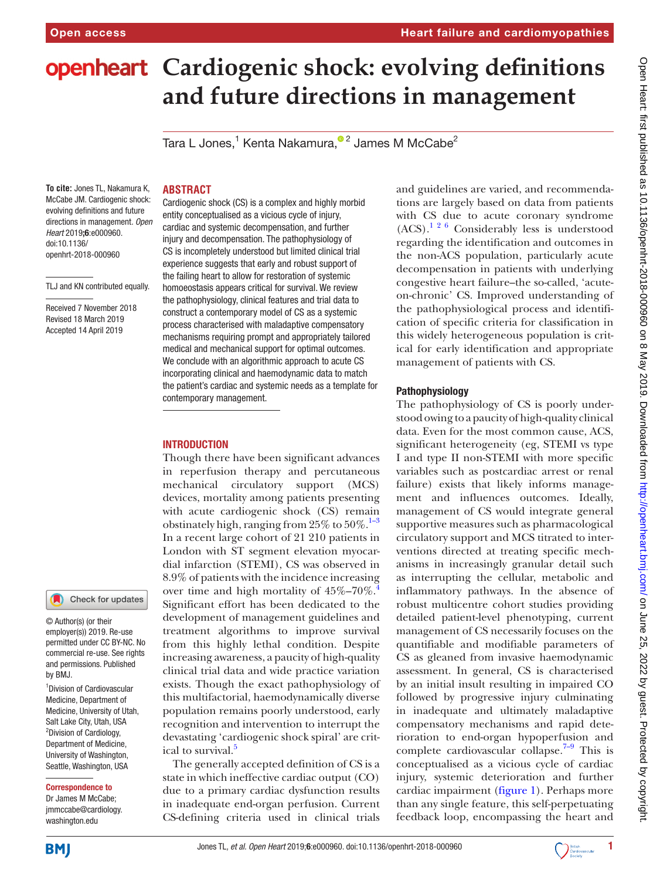# **openheart** Cardiogenic shock: evolving definitions **and future directions in management**

Tara L Jones, $^{\rm 1}$  Kenta Nakamura, $^{\rm \bullet\,2}$  James M McCabe $^{\rm 2}$ 

## **Abstract**

**To cite:** Jones TL, Nakamura K, McCabe JM. Cardiogenic shock: evolving definitions and future directions in management*. Open Heart* 2019;6:e000960. doi:10.1136/ openhrt-2018-000960

TLJ and KN contributed equally.

Received 7 November 2018 Revised 18 March 2019 Accepted 14 April 2019



© Author(s) (or their employer(s)) 2019. Re-use permitted under CC BY-NC. No commercial re-use. See rights and permissions. Published by BMJ.

1 Division of Cardiovascular Medicine, Department of Medicine, University of Utah, Salt Lake City, Utah, USA <sup>2</sup>Division of Cardiology, Department of Medicine, University of Washington, Seattle, Washington, USA

#### Correspondence to

Dr James M McCabe; jmmccabe@cardiology. washington.edu

Cardiogenic shock (CS) is a complex and highly morbid entity conceptualised as a vicious cycle of injury, cardiac and systemic decompensation, and further injury and decompensation. The pathophysiology of CS is incompletely understood but limited clinical trial experience suggests that early and robust support of the failing heart to allow for restoration of systemic homoeostasis appears critical for survival. We review the pathophysiology, clinical features and trial data to construct a contemporary model of CS as a systemic process characterised with maladaptive compensatory mechanisms requiring prompt and appropriately tailored medical and mechanical support for optimal outcomes. We conclude with an algorithmic approach to acute CS incorporating clinical and haemodynamic data to match the patient's cardiac and systemic needs as a template for contemporary management.

## **INTRODUCTION**

Though there have been significant advances in reperfusion therapy and percutaneous mechanical circulatory support (MCS) devices, mortality among patients presenting with acute cardiogenic shock (CS) remain obstinately high, ranging from  $25\%$  to  $50\%$ .<sup>[1–3](#page-6-0)</sup> In a recent large cohort of 21 210 patients in London with ST segment elevation myocardial infarction (STEMI), CS was observed in 8.9% of patients with the incidence increasing over time and high mortality of  $45\% - 70\%$  $45\% - 70\%$ . Significant effort has been dedicated to the development of management guidelines and treatment algorithms to improve survival from this highly lethal condition. Despite increasing awareness, a paucity of high-quality clinical trial data and wide practice variation exists. Though the exact pathophysiology of this multifactorial, haemodynamically diverse population remains poorly understood, early recognition and intervention to interrupt the devastating 'cardiogenic shock spiral' are crit-ical to survival.<sup>[5](#page-6-2)</sup>

The generally accepted definition of CS is a state in which ineffective cardiac output (CO) due to a primary cardiac dysfunction results in inadequate end-organ perfusion. Current CS-defining criteria used in clinical trials and guidelines are varied, and recommendations are largely based on data from patients with CS due to acute coronary syndrome  $(ACS).$ <sup>1 2 6</sup> Considerably less is understood regarding the identification and outcomes in the non-ACS population, particularly acute decompensation in patients with underlying congestive heart failure–the so-called, 'acuteon-chronic' CS. Improved understanding of the pathophysiological process and identification of specific criteria for classification in this widely heterogeneous population is critical for early identification and appropriate management of patients with CS.

## Pathophysiology

The pathophysiology of CS is poorly understood owing to a paucity of high-quality clinical data. Even for the most common cause, ACS, significant heterogeneity (eg, STEMI vs type I and type II non-STEMI with more specific variables such as postcardiac arrest or renal failure) exists that likely informs management and influences outcomes. Ideally, management of CS would integrate general supportive measures such as pharmacological circulatory support and MCS titrated to interventions directed at treating specific mechanisms in increasingly granular detail such as interrupting the cellular, metabolic and inflammatory pathways. In the absence of robust multicentre cohort studies providing detailed patient-level phenotyping, current management of CS necessarily focuses on the quantifiable and modifiable parameters of CS as gleaned from invasive haemodynamic assessment. In general, CS is characterised by an initial insult resulting in impaired CO followed by progressive injury culminating in inadequate and ultimately maladaptive compensatory mechanisms and rapid deterioration to end-organ hypoperfusion and complete cardiovascular collapse.<sup>7–9</sup> This is conceptualised as a vicious cycle of cardiac injury, systemic deterioration and further cardiac impairment [\(figure](#page-1-0) 1). Perhaps more than any single feature, this self-perpetuating feedback loop, encompassing the heart and



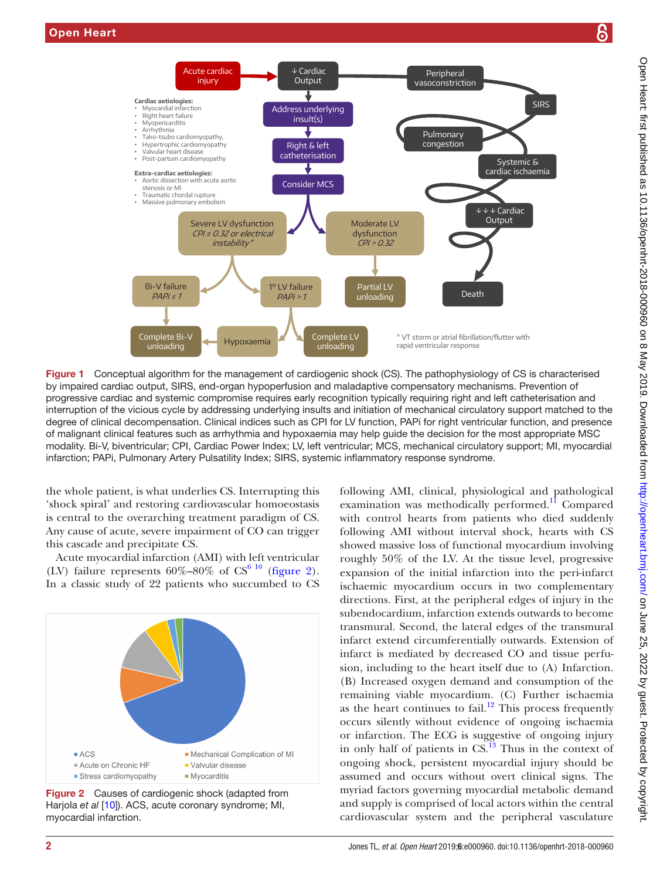

<span id="page-1-0"></span>Figure 1 Conceptual algorithm for the management of cardiogenic shock (CS). The pathophysiology of CS is characterised by impaired cardiac output, SIRS, end-organ hypoperfusion and maladaptive compensatory mechanisms. Prevention of progressive cardiac and systemic compromise requires early recognition typically requiring right and left catheterisation and interruption of the vicious cycle by addressing underlying insults and initiation of mechanical circulatory support matched to the degree of clinical decompensation. Clinical indices such as CPI for LV function, PAPi for right ventricular function, and presence of malignant clinical features such as arrhythmia and hypoxaemia may help guide the decision for the most appropriate MSC modality. Bi-V, biventricular; CPI, Cardiac Power Index; LV, left ventricular; MCS, mechanical circulatory support; MI, myocardial infarction; PAPi, Pulmonary Artery Pulsatility Index; SIRS, systemic inflammatory response syndrome.

the whole patient, is what underlies CS. Interrupting this 'shock spiral' and restoring cardiovascular homoeostasis is central to the overarching treatment paradigm of CS. Any cause of acute, severe impairment of CO can trigger this cascade and precipitate CS.

Acute myocardial infarction (AMI) with left ventricular (LV) failure represents  $60\% - 80\%$  of CS<sup>6 10</sup> ([figure](#page-1-1) 2). In a classic study of 22 patients who succumbed to CS



<span id="page-1-1"></span>Figure 2 Causes of cardiogenic shock (adapted from Harjola *et al* [[10](#page-6-4)]). ACS, acute coronary syndrome; MI, myocardial infarction.

following AMI, clinical, physiological and pathological examination was methodically performed.<sup>11</sup> Compared with control hearts from patients who died suddenly following AMI without interval shock, hearts with CS showed massive loss of functional myocardium involving roughly 50% of the LV. At the tissue level, progressive expansion of the initial infarction into the peri-infarct ischaemic myocardium occurs in two complementary directions. First, at the peripheral edges of injury in the subendocardium, infarction extends outwards to become transmural. Second, the lateral edges of the transmural infarct extend circumferentially outwards. Extension of infarct is mediated by decreased CO and tissue perfusion, including to the heart itself due to (A) Infarction. (B) Increased oxygen demand and consumption of the remaining viable myocardium. (C) Further ischaemia as the heart continues to fail.<sup>12</sup> This process frequently occurs silently without evidence of ongoing ischaemia or infarction. The ECG is suggestive of ongoing injury in only half of patients in  $CS$ .<sup>13</sup> Thus in the context of ongoing shock, persistent myocardial injury should be assumed and occurs without overt clinical signs. The myriad factors governing myocardial metabolic demand and supply is comprised of local actors within the central cardiovascular system and the peripheral vasculature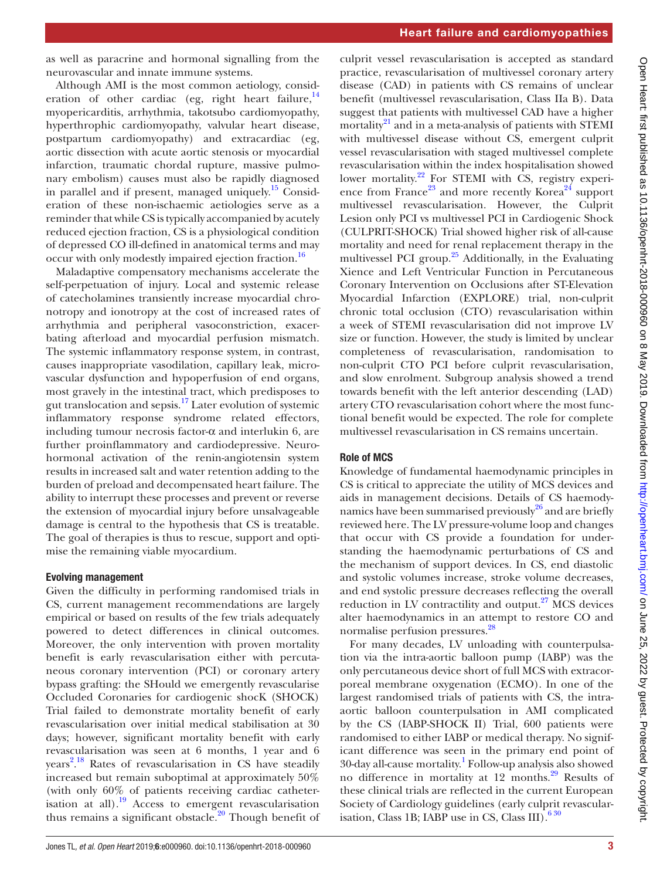as well as paracrine and hormonal signalling from the neurovascular and innate immune systems.

Although AMI is the most common aetiology, consideration of other cardiac (eg, right heart failure, $14$ myopericarditis, arrhythmia, takotsubo cardiomyopathy, hyperthrophic cardiomyopathy, valvular heart disease, postpartum cardiomyopathy) and extracardiac (eg, aortic dissection with acute aortic stenosis or myocardial infarction, traumatic chordal rupture, massive pulmonary embolism) causes must also be rapidly diagnosed in parallel and if present, managed uniquely.<sup>[15](#page-6-10)</sup> Consideration of these non-ischaemic aetiologies serve as a reminder that while CS is typically accompanied by acutely reduced ejection fraction, CS is a physiological condition of depressed CO ill-defined in anatomical terms and may occur with only modestly impaired ejection fraction.<sup>[16](#page-6-11)</sup>

Maladaptive compensatory mechanisms accelerate the self-perpetuation of injury. Local and systemic release of catecholamines transiently increase myocardial chronotropy and ionotropy at the cost of increased rates of arrhythmia and peripheral vasoconstriction, exacerbating afterload and myocardial perfusion mismatch. The systemic inflammatory response system, in contrast, causes inappropriate vasodilation, capillary leak, microvascular dysfunction and hypoperfusion of end organs, most gravely in the intestinal tract, which predisposes to gut translocation and sepsis.[17](#page-6-12) Later evolution of systemic inflammatory response syndrome related effectors, including tumour necrosis factor- $\alpha$  and interlukin 6, are further proinflammatory and cardiodepressive. Neurohormonal activation of the renin-angiotensin system results in increased salt and water retention adding to the burden of preload and decompensated heart failure. The ability to interrupt these processes and prevent or reverse the extension of myocardial injury before unsalvageable damage is central to the hypothesis that CS is treatable. The goal of therapies is thus to rescue, support and optimise the remaining viable myocardium.

#### Evolving management

Given the difficulty in performing randomised trials in CS, current management recommendations are largely empirical or based on results of the few trials adequately powered to detect differences in clinical outcomes. Moreover, the only intervention with proven mortality benefit is early revascularisation either with percutaneous coronary intervention (PCI) or coronary artery bypass grafting: the SHould we emergently revascularise Occluded Coronaries for cardiogenic shocK (SHOCK) Trial failed to demonstrate mortality benefit of early revascularisation over initial medical stabilisation at 30 days; however, significant mortality benefit with early revascularisation was seen at 6 months, 1 year and 6 years<sup>[2](#page-6-13)</sup>.<sup>[18](#page-6-14)</sup> Rates of revascularisation in CS have steadily increased but remain suboptimal at approximately 50% (with only 60% of patients receiving cardiac catheterisation at all).<sup>19</sup> Access to emergent revascularisation thus remains a significant obstacle.<sup>20</sup> Though benefit of

culprit vessel revascularisation is accepted as standard practice, revascularisation of multivessel coronary artery disease (CAD) in patients with CS remains of unclear benefit (multivessel revascularisation, Class IIa B). Data suggest that patients with multivessel CAD have a higher mortality $^{21}$  and in a meta-analysis of patients with STEMI with multivessel disease without CS, emergent culprit vessel revascularisation with staged multivessel complete revascularisation within the index hospitalisation showed lower mortality.<sup>22</sup> For STEMI with CS, registry experi-ence from France<sup>[23](#page-6-19)</sup> and more recently Korea<sup>24</sup> support multivessel revascularisation. However, the Culprit Lesion only PCI vs multivessel PCI in Cardiogenic Shock (CULPRIT-SHOCK) Trial showed higher risk of all-cause mortality and need for renal replacement therapy in the multivessel PCI group. $25$  Additionally, in the Evaluating Xience and Left Ventricular Function in Percutaneous Coronary Intervention on Occlusions after ST-Elevation Myocardial Infarction (EXPLORE) trial, non-culprit chronic total occlusion (CTO) revascularisation within a week of STEMI revascularisation did not improve LV size or function. However, the study is limited by unclear completeness of revascularisation, randomisation to non-culprit CTO PCI before culprit revascularisation, and slow enrolment. Subgroup analysis showed a trend towards benefit with the left anterior descending (LAD) artery CTO revascularisation cohort where the most functional benefit would be expected. The role for complete multivessel revascularisation in CS remains uncertain.

## Role of MCS

Knowledge of fundamental haemodynamic principles in CS is critical to appreciate the utility of MCS devices and aids in management decisions. Details of CS haemodynamics have been summarised previously<sup>26</sup> and are briefly reviewed here. The LV pressure-volume loop and changes that occur with CS provide a foundation for understanding the haemodynamic perturbations of CS and the mechanism of support devices. In CS, end diastolic and systolic volumes increase, stroke volume decreases, and end systolic pressure decreases reflecting the overall reduction in LV contractility and output.<sup>27</sup> MCS devices alter haemodynamics in an attempt to restore CO and normalise perfusion pressures[.28](#page-6-24)

For many decades, LV unloading with counterpulsation via the intra-aortic balloon pump (IABP) was the only percutaneous device short of full MCS with extracorporeal membrane oxygenation (ECMO). In one of the largest randomised trials of patients with CS, the intraaortic balloon counterpulsation in AMI complicated by the CS (IABP-SHOCK II) Trial, 600 patients were randomised to either IABP or medical therapy. No significant difference was seen in the primary end point of 30-day all-cause mortality.[1](#page-6-0) Follow-up analysis also showed no difference in mortality at 12 months.<sup>29</sup> Results of these clinical trials are reflected in the current European Society of Cardiology guidelines (early culprit revascularisation, Class 1B; IABP use in CS, Class III). $630$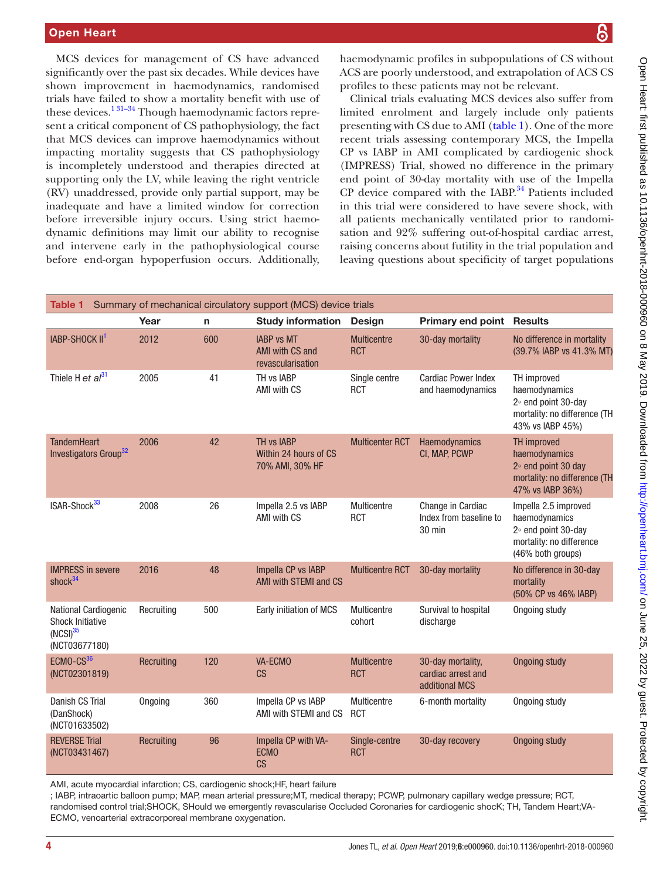MCS devices for management of CS have advanced significantly over the past six decades. While devices have shown improvement in haemodynamics, randomised trials have failed to show a mortality benefit with use of these devices[.1 31–34](#page-6-0) Though haemodynamic factors represent a critical component of CS pathophysiology, the fact that MCS devices can improve haemodynamics without impacting mortality suggests that CS pathophysiology is incompletely understood and therapies directed at supporting only the LV, while leaving the right ventricle (RV) unaddressed, provide only partial support, may be inadequate and have a limited window for correction before irreversible injury occurs. Using strict haemodynamic definitions may limit our ability to recognise and intervene early in the pathophysiological course before end-organ hypoperfusion occurs. Additionally,

haemodynamic profiles in subpopulations of CS without ACS are poorly understood, and extrapolation of ACS CS profiles to these patients may not be relevant.

Clinical trials evaluating MCS devices also suffer from limited enrolment and largely include only patients presenting with CS due to AMI ([table](#page-3-0) 1). One of the more recent trials assessing contemporary MCS, the Impella CP vs IABP in AMI complicated by cardiogenic shock (IMPRESS) Trial, showed no difference in the primary end point of 30-day mortality with use of the Impella  $CP$  device compared with the IABP. $34$  Patients included in this trial were considered to have severe shock, with all patients mechanically ventilated prior to randomisation and 92% suffering out-of-hospital cardiac arrest, raising concerns about futility in the trial population and leaving questions about specificity of target populations

<span id="page-3-0"></span>

| Summary of mechanical circulatory support (MCS) device trials<br>Table 1                 |            |              |                                                           |                                  |                                                           |                                                                                                                  |
|------------------------------------------------------------------------------------------|------------|--------------|-----------------------------------------------------------|----------------------------------|-----------------------------------------------------------|------------------------------------------------------------------------------------------------------------------|
|                                                                                          | Year       | $\mathsf{n}$ | <b>Study information</b>                                  | <b>Design</b>                    | <b>Primary end point Results</b>                          |                                                                                                                  |
| IABP-SHOCK II <sup>1</sup>                                                               | 2012       | 600          | <b>IABP vs MT</b><br>AMI with CS and<br>revascularisation | <b>Multicentre</b><br><b>RCT</b> | 30-day mortality                                          | No difference in mortality<br>(39.7% IABP vs 41.3% MT)                                                           |
| Thiele H et $al^{31}$                                                                    | 2005       | 41           | TH vs IABP<br>AMI with CS                                 | Single centre<br><b>RCT</b>      | <b>Cardiac Power Index</b><br>and haemodynamics           | TH improved<br>haemodynamics<br>2° end point 30-day<br>mortality: no difference (TH<br>43% vs IABP 45%)          |
| <b>TandemHeart</b><br>Investigators Group <sup>32</sup>                                  | 2006       | 42           | TH vs IABP<br>Within 24 hours of CS<br>70% AMI, 30% HF    | <b>Multicenter RCT</b>           | Haemodynamics<br>CI, MAP, PCWP                            | <b>TH</b> improved<br>haemodynamics<br>$2°$ end point 30 day<br>mortality: no difference (TH<br>47% vs IABP 36%) |
| ISAR-Shock <sup>33</sup>                                                                 | 2008       | 26           | Impella 2.5 vs IABP<br>AMI with CS                        | Multicentre<br><b>RCT</b>        | Change in Cardiac<br>Index from baseline to<br>30 min     | Impella 2.5 improved<br>haemodynamics<br>2° end point 30-day<br>mortality: no difference<br>(46% both groups)    |
| <b>IMPRESS in severe</b><br>shock $34$                                                   | 2016       | 48           | Impella CP vs IABP<br>AMI with STEMI and CS               | <b>Multicentre RCT</b>           | 30-day mortality                                          | No difference in 30-day<br>mortality<br>(50% CP vs 46% IABP)                                                     |
| National Cardiogenic<br><b>Shock Initiative</b><br>(NCSI) <sup>35</sup><br>(NCT03677180) | Recruiting | 500          | Early initiation of MCS                                   | Multicentre<br>cohort            | Survival to hospital<br>discharge                         | Ongoing study                                                                                                    |
| ECMO-CS <sup>36</sup><br>(NCT02301819)                                                   | Recruiting | 120          | VA-ECMO<br>CS                                             | <b>Multicentre</b><br><b>RCT</b> | 30-day mortality.<br>cardiac arrest and<br>additional MCS | <b>Ongoing study</b>                                                                                             |
| Danish CS Trial<br>(DanShock)<br>(NCT01633502)                                           | Ongoing    | 360          | Impella CP vs IABP<br>AMI with STEMI and CS               | Multicentre<br><b>RCT</b>        | 6-month mortality                                         | Ongoing study                                                                                                    |
| <b>REVERSE Trial</b><br>(NCT03431467)                                                    | Recruiting | 96           | Impella CP with VA-<br><b>ECMO</b><br>CS                  | Single-centre<br><b>RCT</b>      | 30-day recovery                                           | <b>Ongoing study</b>                                                                                             |
|                                                                                          |            |              |                                                           |                                  |                                                           |                                                                                                                  |

AMI, acute myocardial infarction; CS, cardiogenic shock;HF, heart failure

; IABP, intraoartic balloon pump; MAP, mean arterial pressure;MT, medical therapy; PCWP, pulmonary capillary wedge pressure; RCT, randomised control trial;SHOCK, SHould we emergently revascularise Occluded Coronaries for cardiogenic shocK; TH, Tandem Heart;VA-ECMO, venoarterial extracorporeal membrane oxygenation.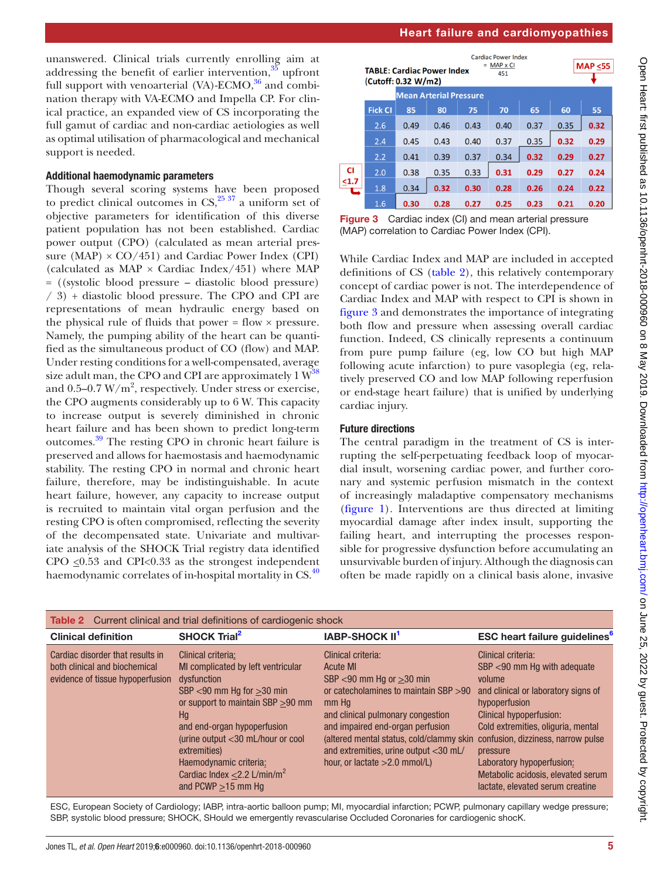unanswered. Clinical trials currently enrolling aim at addressing the benefit of earlier intervention, $35 \text{ upfront}$  $35 \text{ upfront}$ full support with venoarterial  $(VA)$ -ECMO,<sup>36</sup> and combination therapy with VA-ECMO and Impella CP. For clinical practice, an expanded view of CS incorporating the full gamut of cardiac and non-cardiac aetiologies as well as optimal utilisation of pharmacological and mechanical support is needed.

#### Additional haemodynamic parameters

Though several scoring systems have been proposed to predict clinical outcomes in  $CS$ ,<sup>[25 37](#page-6-21)</sup> a uniform set of objective parameters for identification of this diverse patient population has not been established. Cardiac power output (CPO) (calculated as mean arterial pressure (MAP)  $\times$  CO/451) and Cardiac Power Index (CPI) (calculated as  $MAP \times$  Cardiac Index/451) where MAP = ((systolic blood pressure – diastolic blood pressure) / 3) + diastolic blood pressure. The CPO and CPI are representations of mean hydraulic energy based on the physical rule of fluids that power  $=$  flow  $\times$  pressure. Namely, the pumping ability of the heart can be quantified as the simultaneous product of CO (flow) and MAP. Under resting conditions for a well-compensated, average size adult man, the CPO and CPI are approximately  $1 \, \text{W}^{38}$ and  $0.5-0.7$  W/m<sup>2</sup>, respectively. Under stress or exercise, the CPO augments considerably up to 6 W. This capacity to increase output is severely diminished in chronic heart failure and has been shown to predict long-term outcomes[.39](#page-6-33) The resting CPO in chronic heart failure is preserved and allows for haemostasis and haemodynamic stability. The resting CPO in normal and chronic heart failure, therefore, may be indistinguishable. In acute heart failure, however, any capacity to increase output is recruited to maintain vital organ perfusion and the resting CPO is often compromised, reflecting the severity of the decompensated state. Univariate and multivariate analysis of the SHOCK Trial registry data identified CPO  $\leq 0.53$  and CPI<0.33 as the strongest independent haemodynamic correlates of in-hospital mortality in CS.<sup>[40](#page-6-34)</sup>

|           | <b>Cardiac Power Index</b><br>$=$ MAP $\times$ CI<br><b>TABLE: Cardiac Power Index</b><br>451<br>(Cutoff: 0.32 W/m2) |      |      |      |      |      |      | <b>MAP &lt;55</b> |
|-----------|----------------------------------------------------------------------------------------------------------------------|------|------|------|------|------|------|-------------------|
|           | <b>Mean Arterial Pressure</b>                                                                                        |      |      |      |      |      |      |                   |
|           | <b>Fick CI</b>                                                                                                       | 85   | 80   | 75   | 70   | 65   | 60   | 55                |
|           | 2.6                                                                                                                  | 0.49 | 0.46 | 0.43 | 0.40 | 0.37 | 0.35 | 0.32              |
|           | 2.4                                                                                                                  | 0.45 | 0.43 | 0.40 | 0.37 | 0.35 | 0.32 | 0.29              |
|           | 2.2                                                                                                                  | 0.41 | 0.39 | 0.37 | 0.34 | 0.32 | 0.29 | 0.27              |
| <b>CI</b> | 2.0                                                                                                                  | 0.38 | 0.35 | 0.33 | 0.31 | 0.29 | 0.27 | 0.24              |
| $1.7$     | 1.8                                                                                                                  | 0.34 | 0.32 | 0.30 | 0.28 | 0.26 | 0.24 | 0.22              |
|           | 1.6                                                                                                                  | 0.30 | 0.28 | 0.27 | 0.25 | 0.23 | 0.21 | 0.20              |

<span id="page-4-1"></span>**Figure 3** Cardiac index (CI) and mean arterial pressure (MAP) correlation to Cardiac Power Index (CPI).

While Cardiac Index and MAP are included in accepted definitions of CS ([table](#page-4-0) 2), this relatively contemporary concept of cardiac power is not. The interdependence of Cardiac Index and MAP with respect to CPI is shown in [figure](#page-4-1) 3 and demonstrates the importance of integrating both flow and pressure when assessing overall cardiac function. Indeed, CS clinically represents a continuum from pure pump failure (eg, low CO but high MAP following acute infarction) to pure vasoplegia (eg, relatively preserved CO and low MAP following reperfusion or end-stage heart failure) that is unified by underlying cardiac injury.

## Future directions

The central paradigm in the treatment of CS is interrupting the self-perpetuating feedback loop of myocardial insult, worsening cardiac power, and further coronary and systemic perfusion mismatch in the context of increasingly maladaptive compensatory mechanisms [\(figure](#page-1-0) 1). Interventions are thus directed at limiting myocardial damage after index insult, supporting the failing heart, and interrupting the processes responsible for progressive dysfunction before accumulating an unsurvivable burden of injury. Although the diagnosis can often be made rapidly on a clinical basis alone, invasive

<span id="page-4-0"></span>

| <b>Table 2</b> Current clinical and trial definitions of cardiogenic shock                            |                                                                                                                                                                                                                                                                                                                                                 |                                                                                                                                                                                                                                                                                                                             |                                                                                                                                                                                                                                                                                                                                                      |  |  |
|-------------------------------------------------------------------------------------------------------|-------------------------------------------------------------------------------------------------------------------------------------------------------------------------------------------------------------------------------------------------------------------------------------------------------------------------------------------------|-----------------------------------------------------------------------------------------------------------------------------------------------------------------------------------------------------------------------------------------------------------------------------------------------------------------------------|------------------------------------------------------------------------------------------------------------------------------------------------------------------------------------------------------------------------------------------------------------------------------------------------------------------------------------------------------|--|--|
| <b>Clinical definition</b>                                                                            | <b>SHOCK Trial<sup>2</sup></b>                                                                                                                                                                                                                                                                                                                  | <b>IABP-SHOCK II<sup>1</sup></b>                                                                                                                                                                                                                                                                                            | <b>ESC heart failure guidelines</b> <sup>6</sup>                                                                                                                                                                                                                                                                                                     |  |  |
| Cardiac disorder that results in<br>both clinical and biochemical<br>evidence of tissue hypoperfusion | Clinical criteria:<br>MI complicated by left ventricular<br>dysfunction<br>$SBP < 90$ mm Hg for $>30$ min<br>or support to maintain SBP > 90 mm<br>Hq<br>and end-organ hypoperfusion<br>(urine output $<$ 30 mL/hour or cool<br>extremities)<br>Haemodynamic criteria:<br>Cardiac Index $\leq$ 2.2 L/min/m <sup>2</sup><br>and PCWP $>15$ mm Hq | Clinical criteria:<br><b>Acute MI</b><br>SBP $<$ 90 mm Hg or $>$ 30 min<br>or catecholamines to maintain SBP > 90<br>mm Hq<br>and clinical pulmonary congestion<br>and impaired end-organ perfusion<br>(altered mental status, cold/clammy skin<br>and extremities, urine output <30 mL/<br>hour, or lactate $>2.0$ mmol/L) | Clinical criteria:<br>SBP <90 mm Hg with adequate<br>volume<br>and clinical or laboratory signs of<br>hypoperfusion<br><b>Clinical hypoperfusion:</b><br>Cold extremities, oliguria, mental<br>confusion, dizziness, narrow pulse<br>pressure<br>Laboratory hypoperfusion:<br>Metabolic acidosis, elevated serum<br>lactate, elevated serum creatine |  |  |

ESC, European Society of Cardiology; IABP, intra-aortic balloon pump; MI, myocardial infarction; PCWP, pulmonary capillary wedge pressure; SBP, systolic blood pressure; SHOCK, SHould we emergently revascularise Occluded Coronaries for cardiogenic shocK.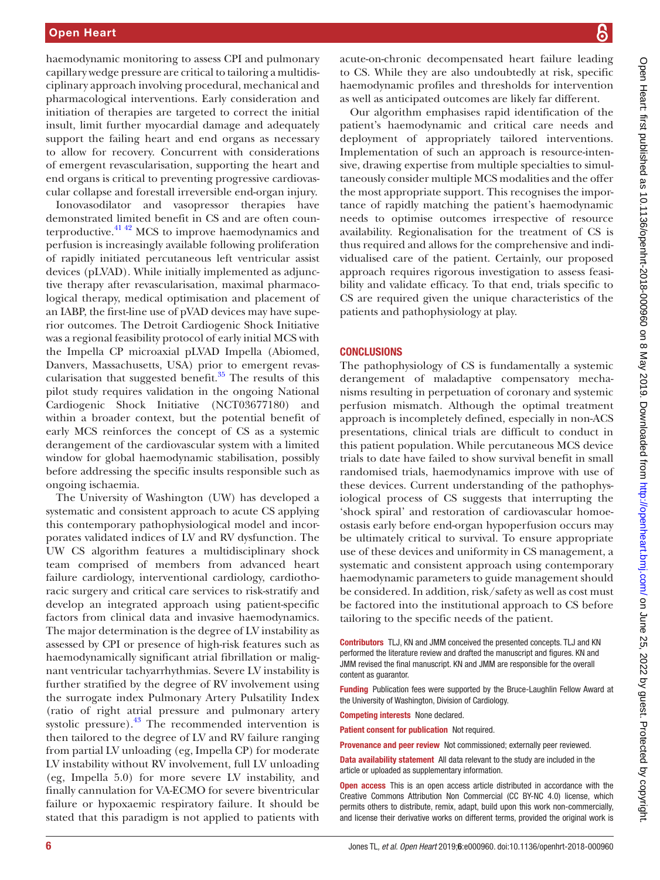haemodynamic monitoring to assess CPI and pulmonary capillary wedge pressure are critical to tailoring a multidisciplinary approach involving procedural, mechanical and pharmacological interventions. Early consideration and initiation of therapies are targeted to correct the initial insult, limit further myocardial damage and adequately support the failing heart and end organs as necessary to allow for recovery. Concurrent with considerations of emergent revascularisation, supporting the heart and end organs is critical to preventing progressive cardiovascular collapse and forestall irreversible end-organ injury.

Ionovasodilator and vasopressor therapies have demonstrated limited benefit in CS and are often counterproductive. $41\frac{42}{2}$  MCS to improve haemodynamics and perfusion is increasingly available following proliferation of rapidly initiated percutaneous left ventricular assist devices (pLVAD). While initially implemented as adjunctive therapy after revascularisation, maximal pharmacological therapy, medical optimisation and placement of an IABP, the first-line use of pVAD devices may have superior outcomes. The Detroit Cardiogenic Shock Initiative was a regional feasibility protocol of early initial MCS with the Impella CP microaxial pLVAD Impella (Abiomed, Danvers, Massachusetts, USA) prior to emergent revascularisation that suggested benefit. $35$  The results of this pilot study requires validation in the ongoing National Cardiogenic Shock Initiative (NCT03677180) and within a broader context, but the potential benefit of early MCS reinforces the concept of CS as a systemic derangement of the cardiovascular system with a limited window for global haemodynamic stabilisation, possibly before addressing the specific insults responsible such as ongoing ischaemia.

The University of Washington (UW) has developed a systematic and consistent approach to acute CS applying this contemporary pathophysiological model and incorporates validated indices of LV and RV dysfunction. The UW CS algorithm features a multidisciplinary shock team comprised of members from advanced heart failure cardiology, interventional cardiology, cardiothoracic surgery and critical care services to risk-stratify and develop an integrated approach using patient-specific factors from clinical data and invasive haemodynamics. The major determination is the degree of LV instability as assessed by CPI or presence of high-risk features such as haemodynamically significant atrial fibrillation or malignant ventricular tachyarrhythmias. Severe LV instability is further stratified by the degree of RV involvement using the surrogate index Pulmonary Artery Pulsatility Index (ratio of right atrial pressure and pulmonary artery systolic pressure). $43$  The recommended intervention is then tailored to the degree of LV and RV failure ranging from partial LV unloading (eg, Impella CP) for moderate LV instability without RV involvement, full LV unloading (eg, Impella 5.0) for more severe LV instability, and finally cannulation for VA-ECMO for severe biventricular failure or hypoxaemic respiratory failure. It should be stated that this paradigm is not applied to patients with

acute-on-chronic decompensated heart failure leading to CS. While they are also undoubtedly at risk, specific haemodynamic profiles and thresholds for intervention as well as anticipated outcomes are likely far different.

Our algorithm emphasises rapid identification of the patient's haemodynamic and critical care needs and deployment of appropriately tailored interventions. Implementation of such an approach is resource-intensive, drawing expertise from multiple specialties to simultaneously consider multiple MCS modalities and the offer the most appropriate support. This recognises the importance of rapidly matching the patient's haemodynamic needs to optimise outcomes irrespective of resource availability. Regionalisation for the treatment of CS is thus required and allows for the comprehensive and individualised care of the patient. Certainly, our proposed approach requires rigorous investigation to assess feasibility and validate efficacy. To that end, trials specific to CS are required given the unique characteristics of the patients and pathophysiology at play.

#### **CONCLUSIONS**

The pathophysiology of CS is fundamentally a systemic derangement of maladaptive compensatory mechanisms resulting in perpetuation of coronary and systemic perfusion mismatch. Although the optimal treatment approach is incompletely defined, especially in non-ACS presentations, clinical trials are difficult to conduct in this patient population. While percutaneous MCS device trials to date have failed to show survival benefit in small randomised trials, haemodynamics improve with use of these devices. Current understanding of the pathophysiological process of CS suggests that interrupting the 'shock spiral' and restoration of cardiovascular homoeostasis early before end-organ hypoperfusion occurs may be ultimately critical to survival. To ensure appropriate use of these devices and uniformity in CS management, a systematic and consistent approach using contemporary haemodynamic parameters to guide management should be considered. In addition, risk/safety as well as cost must be factored into the institutional approach to CS before tailoring to the specific needs of the patient.

Contributors TLJ, KN and JMM conceived the presented concepts. TLJ and KN performed the literature review and drafted the manuscript and figures. KN and JMM revised the final manuscript. KN and JMM are responsible for the overall content as guarantor.

Funding Publication fees were supported by the Bruce-Laughlin Fellow Award at the University of Washington, Division of Cardiology.

Competing interests None declared.

Patient consent for publication Not required.

Provenance and peer review Not commissioned; externally peer reviewed.

Data availability statement All data relevant to the study are included in the article or uploaded as supplementary information.

Open access This is an open access article distributed in accordance with the Creative Commons Attribution Non Commercial (CC BY-NC 4.0) license, which permits others to distribute, remix, adapt, build upon this work non-commercially, and license their derivative works on different terms, provided the original work is